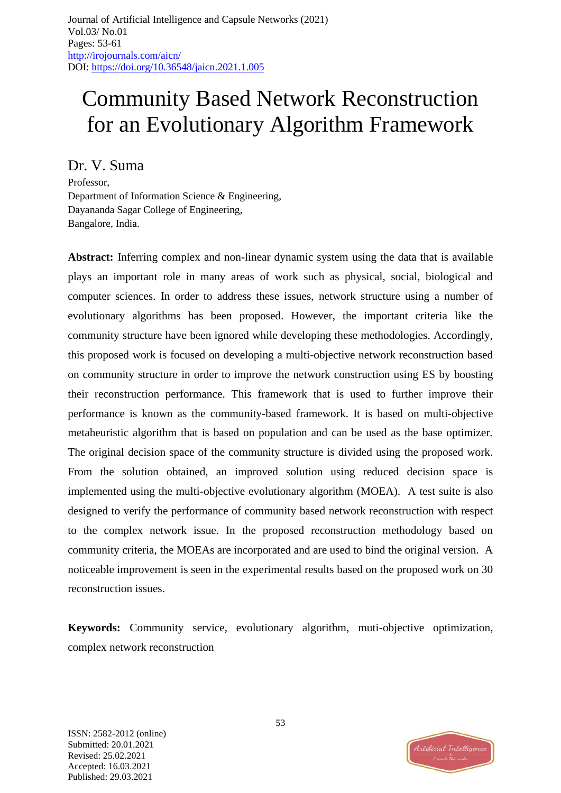# Community Based Network Reconstruction for an Evolutionary Algorithm Framework

Dr. V. Suma

Professor, Department of Information Science & Engineering, Dayananda Sagar College of Engineering, Bangalore, India.

**Abstract:** Inferring complex and non-linear dynamic system using the data that is available plays an important role in many areas of work such as physical, social, biological and computer sciences. In order to address these issues, network structure using a number of evolutionary algorithms has been proposed. However, the important criteria like the community structure have been ignored while developing these methodologies. Accordingly, this proposed work is focused on developing a multi-objective network reconstruction based on community structure in order to improve the network construction using ES by boosting their reconstruction performance. This framework that is used to further improve their performance is known as the community-based framework. It is based on multi-objective metaheuristic algorithm that is based on population and can be used as the base optimizer. The original decision space of the community structure is divided using the proposed work. From the solution obtained, an improved solution using reduced decision space is implemented using the multi-objective evolutionary algorithm (MOEA). A test suite is also designed to verify the performance of community based network reconstruction with respect to the complex network issue. In the proposed reconstruction methodology based on community criteria, the MOEAs are incorporated and are used to bind the original version. A noticeable improvement is seen in the experimental results based on the proposed work on 30 reconstruction issues.

**Keywords:** Community service, evolutionary algorithm, muti-objective optimization, complex network reconstruction

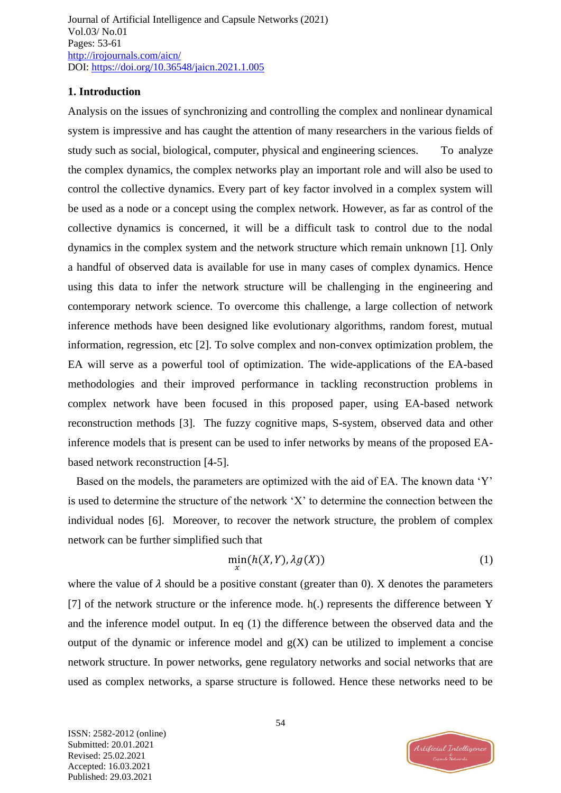## **1. Introduction**

Analysis on the issues of synchronizing and controlling the complex and nonlinear dynamical system is impressive and has caught the attention of many researchers in the various fields of study such as social, biological, computer, physical and engineering sciences. To analyze the complex dynamics, the complex networks play an important role and will also be used to control the collective dynamics. Every part of key factor involved in a complex system will be used as a node or a concept using the complex network. However, as far as control of the collective dynamics is concerned, it will be a difficult task to control due to the nodal dynamics in the complex system and the network structure which remain unknown [1]. Only a handful of observed data is available for use in many cases of complex dynamics. Hence using this data to infer the network structure will be challenging in the engineering and contemporary network science. To overcome this challenge, a large collection of network inference methods have been designed like evolutionary algorithms, random forest, mutual information, regression, etc [2]. To solve complex and non-convex optimization problem, the EA will serve as a powerful tool of optimization. The wide-applications of the EA-based methodologies and their improved performance in tackling reconstruction problems in complex network have been focused in this proposed paper, using EA-based network reconstruction methods [3]. The fuzzy cognitive maps, S-system, observed data and other inference models that is present can be used to infer networks by means of the proposed EAbased network reconstruction [4-5].

Based on the models, the parameters are optimized with the aid of EA. The known data 'Y' is used to determine the structure of the network 'X' to determine the connection between the individual nodes [6]. Moreover, to recover the network structure, the problem of complex network can be further simplified such that

$$
\min_{X} (h(X, Y), \lambda g(X)) \tag{1}
$$

where the value of  $\lambda$  should be a positive constant (greater than 0). X denotes the parameters [7] of the network structure or the inference mode. h(.) represents the difference between Y and the inference model output. In eq (1) the difference between the observed data and the output of the dynamic or inference model and  $g(X)$  can be utilized to implement a concise network structure. In power networks, gene regulatory networks and social networks that are used as complex networks, a sparse structure is followed. Hence these networks need to be

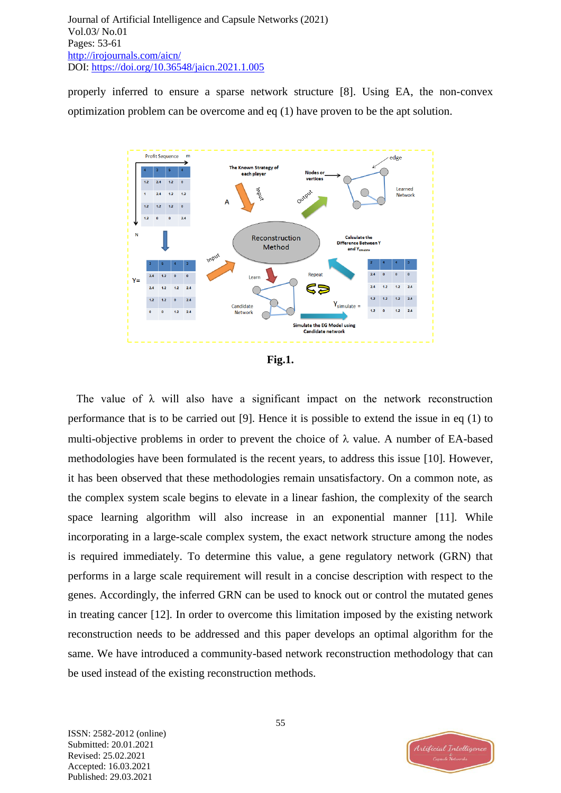properly inferred to ensure a sparse network structure [8]. Using EA, the non-convex optimization problem can be overcome and eq (1) have proven to be the apt solution.





The value of  $\lambda$  will also have a significant impact on the network reconstruction performance that is to be carried out [9]. Hence it is possible to extend the issue in eq (1) to multi-objective problems in order to prevent the choice of  $\lambda$  value. A number of EA-based methodologies have been formulated is the recent years, to address this issue [10]. However, it has been observed that these methodologies remain unsatisfactory. On a common note, as the complex system scale begins to elevate in a linear fashion, the complexity of the search space learning algorithm will also increase in an exponential manner [11]. While incorporating in a large-scale complex system, the exact network structure among the nodes is required immediately. To determine this value, a gene regulatory network (GRN) that performs in a large scale requirement will result in a concise description with respect to the genes. Accordingly, the inferred GRN can be used to knock out or control the mutated genes in treating cancer [12]. In order to overcome this limitation imposed by the existing network reconstruction needs to be addressed and this paper develops an optimal algorithm for the same. We have introduced a community-based network reconstruction methodology that can be used instead of the existing reconstruction methods.

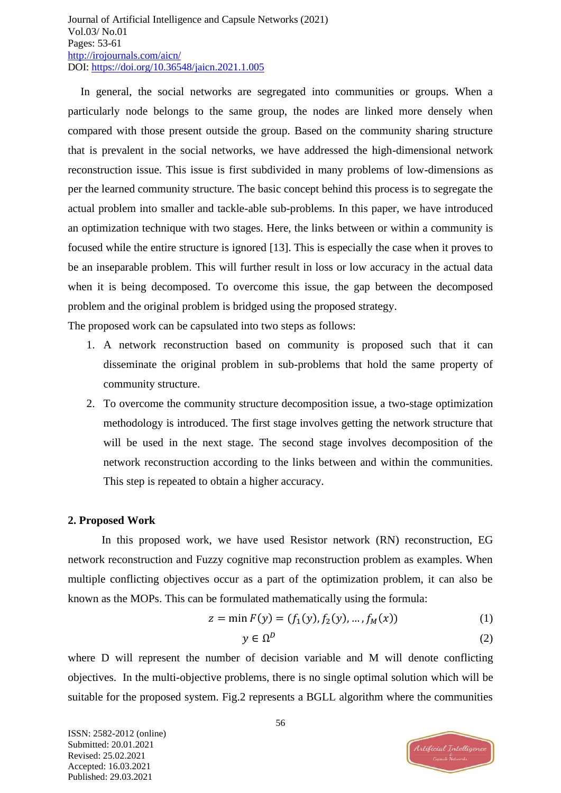In general, the social networks are segregated into communities or groups. When a particularly node belongs to the same group, the nodes are linked more densely when compared with those present outside the group. Based on the community sharing structure that is prevalent in the social networks, we have addressed the high-dimensional network reconstruction issue. This issue is first subdivided in many problems of low-dimensions as per the learned community structure. The basic concept behind this process is to segregate the actual problem into smaller and tackle-able sub-problems. In this paper, we have introduced an optimization technique with two stages. Here, the links between or within a community is focused while the entire structure is ignored [13]. This is especially the case when it proves to be an inseparable problem. This will further result in loss or low accuracy in the actual data when it is being decomposed. To overcome this issue, the gap between the decomposed problem and the original problem is bridged using the proposed strategy.

The proposed work can be capsulated into two steps as follows:

- 1. A network reconstruction based on community is proposed such that it can disseminate the original problem in sub-problems that hold the same property of community structure.
- 2. To overcome the community structure decomposition issue, a two-stage optimization methodology is introduced. The first stage involves getting the network structure that will be used in the next stage. The second stage involves decomposition of the network reconstruction according to the links between and within the communities. This step is repeated to obtain a higher accuracy.

## **2. Proposed Work**

In this proposed work, we have used Resistor network (RN) reconstruction, EG network reconstruction and Fuzzy cognitive map reconstruction problem as examples. When multiple conflicting objectives occur as a part of the optimization problem, it can also be known as the MOPs. This can be formulated mathematically using the formula:

$$
z = \min F(y) = (f_1(y), f_2(y), \dots, f_M(x))
$$
 (1)

$$
y \in \Omega^D \tag{2}
$$

where D will represent the number of decision variable and M will denote conflicting objectives. In the multi-objective problems, there is no single optimal solution which will be suitable for the proposed system. Fig.2 represents a BGLL algorithm where the communities

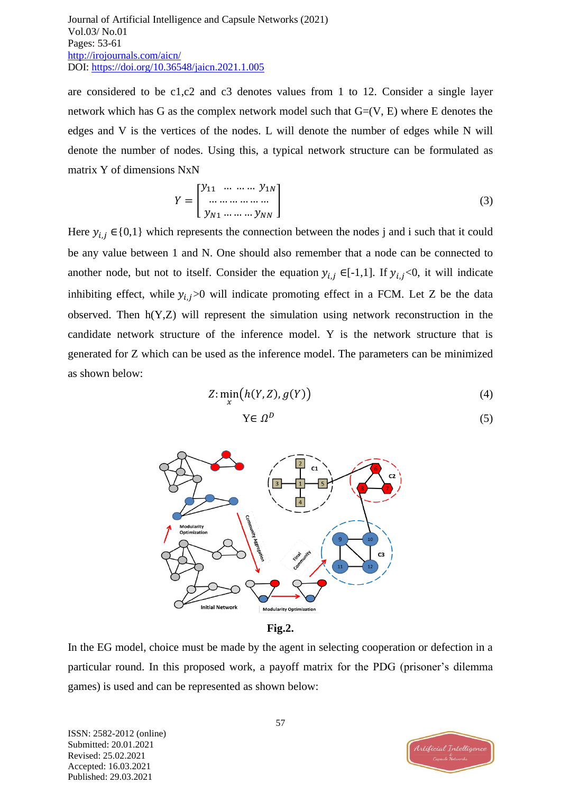are considered to be c1,c2 and c3 denotes values from 1 to 12. Consider a single layer network which has G as the complex network model such that  $G=(V, E)$  where E denotes the edges and V is the vertices of the nodes. L will denote the number of edges while N will denote the number of nodes. Using this, a typical network structure can be formulated as matrix Y of dimensions NxN

$$
Y = \begin{bmatrix} y_{11} & \dots & \dots & y_{1N} \\ \dots & \dots & \dots & \dots \\ y_{N1} & \dots & \dots & y_{NN} \end{bmatrix}
$$
 (3)

Here  $y_{i,j} \in \{0,1\}$  which represents the connection between the nodes j and i such that it could be any value between 1 and N. One should also remember that a node can be connected to another node, but not to itself. Consider the equation  $y_{i,j} \in [-1,1]$ . If  $y_{i,j} < 0$ , it will indicate inhibiting effect, while  $y_{i,j}$ >0 will indicate promoting effect in a FCM. Let Z be the data observed. Then  $h(Y, Z)$  will represent the simulation using network reconstruction in the candidate network structure of the inference model. Y is the network structure that is generated for Z which can be used as the inference model. The parameters can be minimized as shown below:

$$
Z: \min_{x} \big( h(Y, Z), g(Y) \big) \tag{4}
$$

$$
Y \in \Omega^D \tag{5}
$$



**Fig.2.** 

In the EG model, choice must be made by the agent in selecting cooperation or defection in a particular round. In this proposed work, a payoff matrix for the PDG (prisoner's dilemma games) is used and can be represented as shown below:

ISSN: 2582-2012 (online) Submitted: 20.01.2021 Revised: 25.02.2021 Accepted: 16.03.2021 Published: 29.03.2021

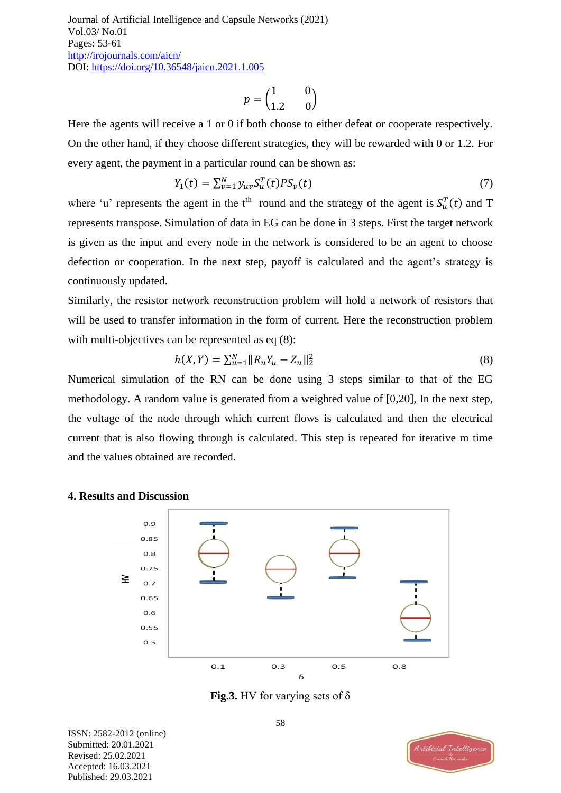$$
p=\begin{pmatrix} 1 && 0 \\ 1.2 && 0 \end{pmatrix}
$$

Here the agents will receive a 1 or 0 if both choose to either defeat or cooperate respectively. On the other hand, if they choose different strategies, they will be rewarded with 0 or 1.2. For every agent, the payment in a particular round can be shown as:

$$
Y_1(t) = \sum_{v=1}^{N} y_{uv} S_u^T(t) P S_v(t)
$$
\n(7)

where 'u' represents the agent in the t<sup>th</sup> round and the strategy of the agent is  $S_u^T(t)$  and T represents transpose. Simulation of data in EG can be done in 3 steps. First the target network is given as the input and every node in the network is considered to be an agent to choose defection or cooperation. In the next step, payoff is calculated and the agent's strategy is continuously updated.

Similarly, the resistor network reconstruction problem will hold a network of resistors that will be used to transfer information in the form of current. Here the reconstruction problem with multi-objectives can be represented as eq (8):

$$
h(X,Y) = \sum_{u=1}^{N} ||R_u Y_u - Z_u||_2^2
$$
\n(8)

Numerical simulation of the RN can be done using 3 steps similar to that of the EG methodology. A random value is generated from a weighted value of [0,20], In the next step, the voltage of the node through which current flows is calculated and then the electrical current that is also flowing through is calculated. This step is repeated for iterative m time and the values obtained are recorded.



### **4. Results and Discussion**

**Fig.3.** HV for varying sets of δ

ISSN: 2582-2012 (online) Submitted: 20.01.2021 Revised: 25.02.2021 Accepted: 16.03.2021 Published: 29.03.2021

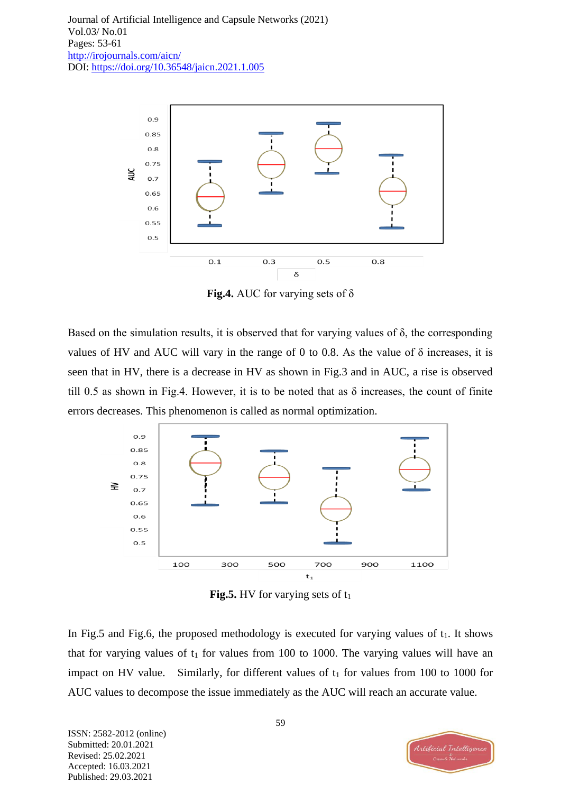

**Fig.4.** AUC for varying sets of δ

Based on the simulation results, it is observed that for varying values of δ, the corresponding values of HV and AUC will vary in the range of 0 to 0.8. As the value of  $\delta$  increases, it is seen that in HV, there is a decrease in HV as shown in Fig.3 and in AUC, a rise is observed till 0.5 as shown in Fig.4. However, it is to be noted that as  $\delta$  increases, the count of finite errors decreases. This phenomenon is called as normal optimization.



**Fig.5.** HV for varying sets of  $t_1$ 

In Fig.5 and Fig.6, the proposed methodology is executed for varying values of  $t_1$ . It shows that for varying values of  $t_1$  for values from 100 to 1000. The varying values will have an impact on HV value. Similarly, for different values of  $t_1$  for values from 100 to 1000 for AUC values to decompose the issue immediately as the AUC will reach an accurate value.

ISSN: 2582-2012 (online) Submitted: 20.01.2021 Revised: 25.02.2021 Accepted: 16.03.2021 Published: 29.03.2021

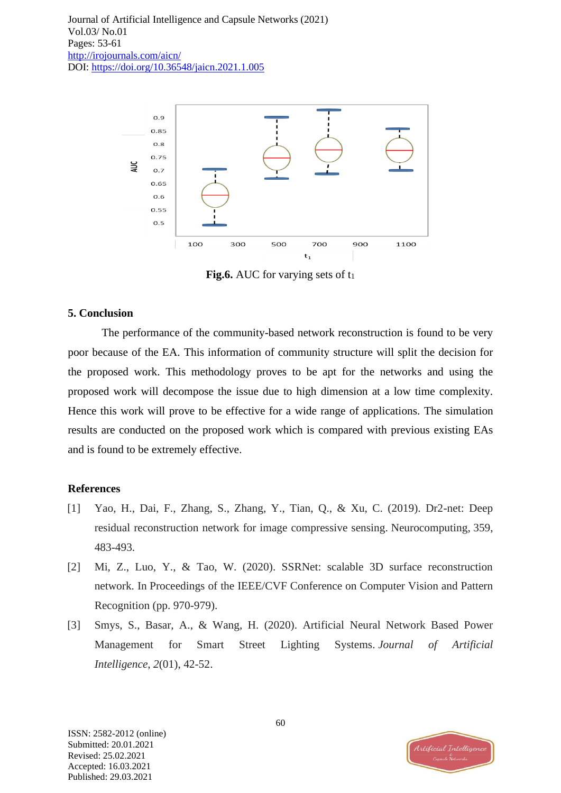

**Fig.6.** AUC for varying sets of t<sub>1</sub>

#### **5. Conclusion**

The performance of the community-based network reconstruction is found to be very poor because of the EA. This information of community structure will split the decision for the proposed work. This methodology proves to be apt for the networks and using the proposed work will decompose the issue due to high dimension at a low time complexity. Hence this work will prove to be effective for a wide range of applications. The simulation results are conducted on the proposed work which is compared with previous existing EAs and is found to be extremely effective.

### **References**

- [1] Yao, H., Dai, F., Zhang, S., Zhang, Y., Tian, Q., & Xu, C. (2019). Dr2-net: Deep residual reconstruction network for image compressive sensing. Neurocomputing, 359, 483-493.
- [2] Mi, Z., Luo, Y., & Tao, W. (2020). SSRNet: scalable 3D surface reconstruction network. In Proceedings of the IEEE/CVF Conference on Computer Vision and Pattern Recognition (pp. 970-979).
- [3] Smys, S., Basar, A., & Wang, H. (2020). Artificial Neural Network Based Power Management for Smart Street Lighting Systems. *Journal of Artificial Intelligence*, *2*(01), 42-52.